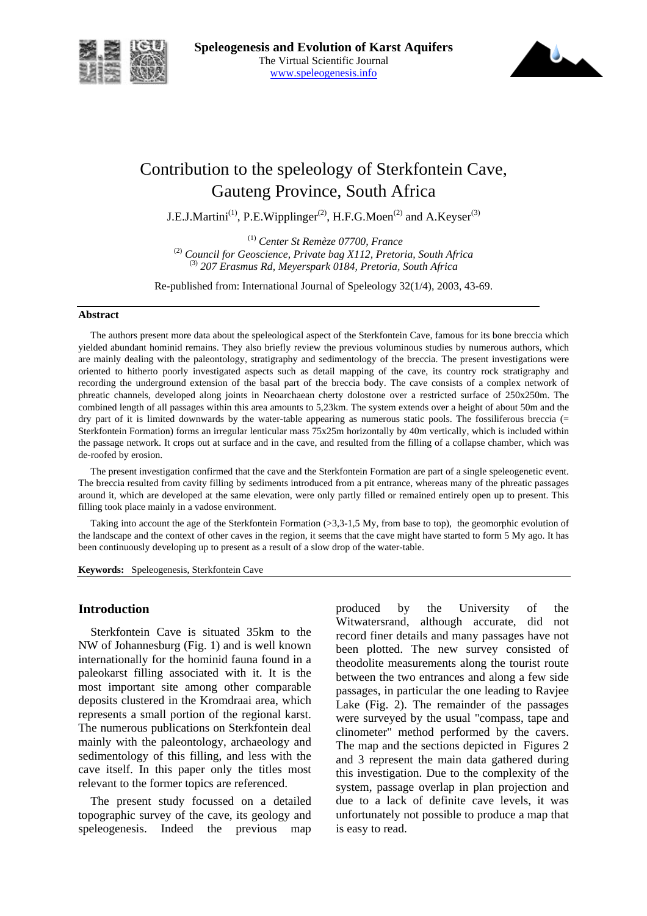



# Contribution to the speleology of Sterkfontein Cave, Gauteng Province, South Africa

J.E.J.Martini<sup>(1)</sup>, P.E.Wipplinger<sup>(2)</sup>, H.F.G.Moen<sup>(2)</sup> and A.Keyser<sup>(3)</sup>

 (1) *Center St Remèze 07700, France*  (2) *Council for Geoscience, Private bag X112, Pretoria, South Africa*  (3) *207 Erasmus Rd, Meyerspark 0184, Pretoria, South Africa* 

Re-published from: International Journal of Speleology 32(1/4), 2003, 43-69.

#### **Abstract**

The authors present more data about the speleological aspect of the Sterkfontein Cave, famous for its bone breccia which yielded abundant hominid remains. They also briefly review the previous voluminous studies by numerous authors, which are mainly dealing with the paleontology, stratigraphy and sedimentology of the breccia. The present investigations were oriented to hitherto poorly investigated aspects such as detail mapping of the cave, its country rock stratigraphy and recording the underground extension of the basal part of the breccia body. The cave consists of a complex network of phreatic channels, developed along joints in Neoarchaean cherty dolostone over a restricted surface of 250x250m. The combined length of all passages within this area amounts to 5,23km. The system extends over a height of about 50m and the dry part of it is limited downwards by the water-table appearing as numerous static pools. The fossiliferous breccia (= Sterkfontein Formation) forms an irregular lenticular mass 75x25m horizontally by 40m vertically, which is included within the passage network. It crops out at surface and in the cave, and resulted from the filling of a collapse chamber, which was de-roofed by erosion.

The present investigation confirmed that the cave and the Sterkfontein Formation are part of a single speleogenetic event. The breccia resulted from cavity filling by sediments introduced from a pit entrance, whereas many of the phreatic passages around it, which are developed at the same elevation, were only partly filled or remained entirely open up to present. This filling took place mainly in a vadose environment.

Taking into account the age of the Sterkfontein Formation (>3,3-1,5 My, from base to top), the geomorphic evolution of the landscape and the context of other caves in the region, it seems that the cave might have started to form 5 My ago. It has been continuously developing up to present as a result of a slow drop of the water-table.

**Keywords:** Speleogenesis, Sterkfontein Cave

#### **Introduction**

Sterkfontein Cave is situated 35km to the NW of Johannesburg (Fig. 1) and is well known internationally for the hominid fauna found in a paleokarst filling associated with it. It is the most important site among other comparable deposits clustered in the Kromdraai area, which represents a small portion of the regional karst. The numerous publications on Sterkfontein deal mainly with the paleontology, archaeology and sedimentology of this filling, and less with the cave itself. In this paper only the titles most relevant to the former topics are referenced.

The present study focussed on a detailed topographic survey of the cave, its geology and speleogenesis. Indeed the previous map produced by the University of the Witwatersrand, although accurate, did not record finer details and many passages have not been plotted. The new survey consisted of theodolite measurements along the tourist route between the two entrances and along a few side passages, in particular the one leading to Ravjee Lake (Fig. 2). The remainder of the passages were surveyed by the usual "compass, tape and clinometer" method performed by the cavers. The map and the sections depicted in Figures 2 and 3 represent the main data gathered during this investigation. Due to the complexity of the system, passage overlap in plan projection and due to a lack of definite cave levels, it was unfortunately not possible to produce a map that is easy to read.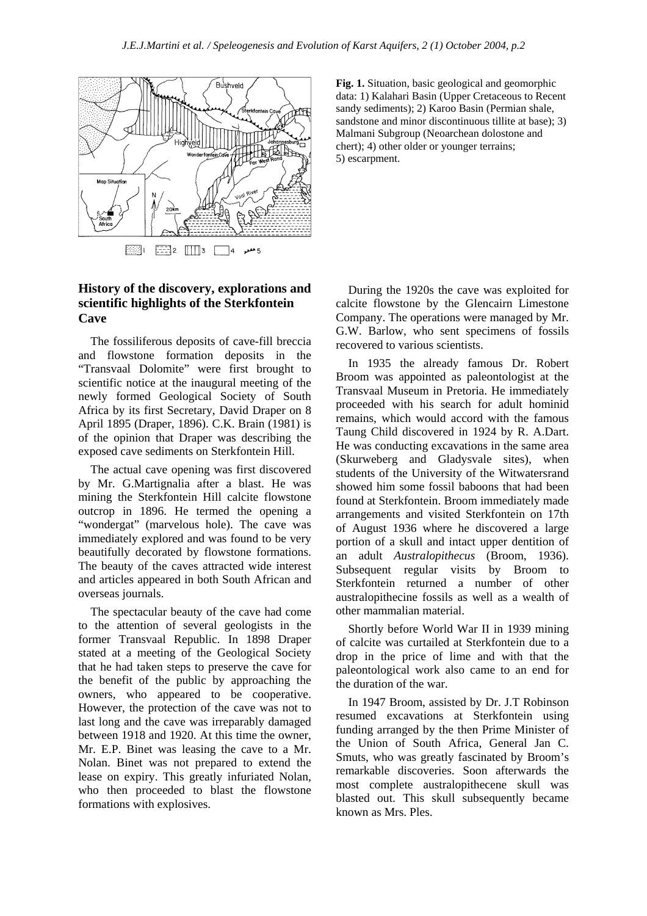

## **History of the discovery, explorations and scientific highlights of the Sterkfontein Cave**

The fossiliferous deposits of cave-fill breccia and flowstone formation deposits in the "Transvaal Dolomite" were first brought to scientific notice at the inaugural meeting of the newly formed Geological Society of South Africa by its first Secretary, David Draper on 8 April 1895 (Draper, 1896). C.K. Brain (1981) is of the opinion that Draper was describing the exposed cave sediments on Sterkfontein Hill.

The actual cave opening was first discovered by Mr. G.Martignalia after a blast. He was mining the Sterkfontein Hill calcite flowstone outcrop in 1896. He termed the opening a "wondergat" (marvelous hole). The cave was immediately explored and was found to be very beautifully decorated by flowstone formations. The beauty of the caves attracted wide interest and articles appeared in both South African and overseas journals.

The spectacular beauty of the cave had come to the attention of several geologists in the former Transvaal Republic. In 1898 Draper stated at a meeting of the Geological Society that he had taken steps to preserve the cave for the benefit of the public by approaching the owners, who appeared to be cooperative. However, the protection of the cave was not to last long and the cave was irreparably damaged between 1918 and 1920. At this time the owner, Mr. E.P. Binet was leasing the cave to a Mr. Nolan. Binet was not prepared to extend the lease on expiry. This greatly infuriated Nolan, who then proceeded to blast the flowstone formations with explosives.

**Fig. 1.** Situation, basic geological and geomorphic data: 1) Kalahari Basin (Upper Cretaceous to Recent sandy sediments); 2) Karoo Basin (Permian shale, sandstone and minor discontinuous tillite at base); 3) Malmani Subgroup (Neoarchean dolostone and chert); 4) other older or younger terrains; 5) escarpment.

During the 1920s the cave was exploited for calcite flowstone by the Glencairn Limestone Company. The operations were managed by Mr. G.W. Barlow, who sent specimens of fossils recovered to various scientists.

In 1935 the already famous Dr. Robert Broom was appointed as paleontologist at the Transvaal Museum in Pretoria. He immediately proceeded with his search for adult hominid remains, which would accord with the famous Taung Child discovered in 1924 by R. A.Dart. He was conducting excavations in the same area (Skurweberg and Gladysvale sites), when students of the University of the Witwatersrand showed him some fossil baboons that had been found at Sterkfontein. Broom immediately made arrangements and visited Sterkfontein on 17th of August 1936 where he discovered a large portion of a skull and intact upper dentition of an adult *Australopithecus* (Broom, 1936). Subsequent regular visits by Broom to Sterkfontein returned a number of other australopithecine fossils as well as a wealth of other mammalian material.

Shortly before World War II in 1939 mining of calcite was curtailed at Sterkfontein due to a drop in the price of lime and with that the paleontological work also came to an end for the duration of the war.

In 1947 Broom, assisted by Dr. J.T Robinson resumed excavations at Sterkfontein using funding arranged by the then Prime Minister of the Union of South Africa, General Jan C. Smuts, who was greatly fascinated by Broom's remarkable discoveries. Soon afterwards the most complete australopithecene skull was blasted out. This skull subsequently became known as Mrs. Ples.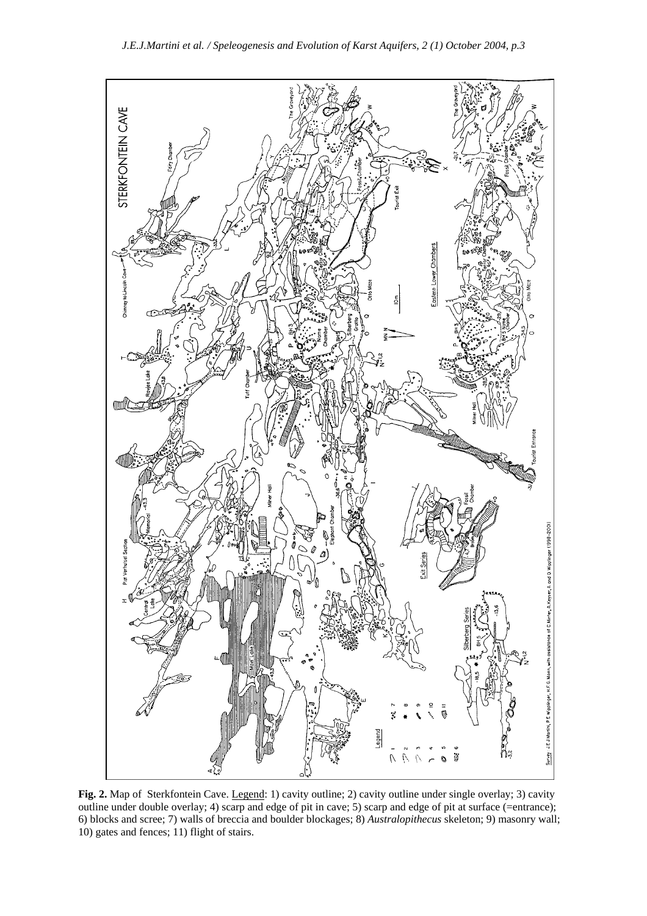

Fig. 2. Map of Sterkfontein Cave. <u>Legend</u>: 1) cavity outline; 2) cavity outline under single overlay; 3) cavity outline under double overlay; 4) scarp and edge of pit in cave; 5) scarp and edge of pit at surface (=entrance); 6) blocks and scree; 7) walls of breccia and boulder blockages; 8) *Australopithecus* skeleton; 9) masonry wall; 10) gates and fences; 11) flight of stairs.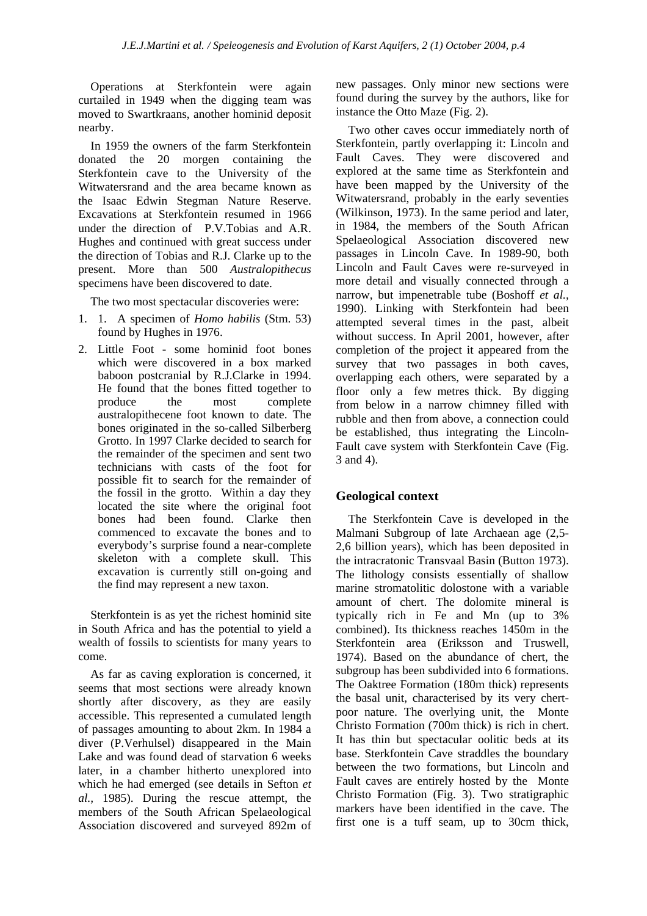Operations at Sterkfontein were again curtailed in 1949 when the digging team was moved to Swartkraans, another hominid deposit nearby.

In 1959 the owners of the farm Sterkfontein donated the 20 morgen containing the Sterkfontein cave to the University of the Witwatersrand and the area became known as the Isaac Edwin Stegman Nature Reserve. Excavations at Sterkfontein resumed in 1966 under the direction of P.V.Tobias and A.R. Hughes and continued with great success under the direction of Tobias and R.J. Clarke up to the present. More than 500 *Australopithecus* specimens have been discovered to date.

The two most spectacular discoveries were:

- 1. 1. A specimen of *Homo habilis* (Stm. 53) found by Hughes in 1976.
- 2. Little Foot some hominid foot bones which were discovered in a box marked baboon postcranial by R.J.Clarke in 1994. He found that the bones fitted together to produce the most complete australopithecene foot known to date. The bones originated in the so-called Silberberg Grotto. In 1997 Clarke decided to search for the remainder of the specimen and sent two technicians with casts of the foot for possible fit to search for the remainder of the fossil in the grotto. Within a day they located the site where the original foot bones had been found. Clarke then commenced to excavate the bones and to everybody's surprise found a near-complete skeleton with a complete skull. This excavation is currently still on-going and the find may represent a new taxon.

Sterkfontein is as yet the richest hominid site in South Africa and has the potential to yield a wealth of fossils to scientists for many years to come.

As far as caving exploration is concerned, it seems that most sections were already known shortly after discovery, as they are easily accessible. This represented a cumulated length of passages amounting to about 2km. In 1984 a diver (P.Verhulsel) disappeared in the Main Lake and was found dead of starvation 6 weeks later, in a chamber hitherto unexplored into which he had emerged (see details in Sefton *et al.,* 1985). During the rescue attempt, the members of the South African Spelaeological Association discovered and surveyed 892m of

new passages. Only minor new sections were found during the survey by the authors, like for instance the Otto Maze (Fig. 2).

Two other caves occur immediately north of Sterkfontein, partly overlapping it: Lincoln and Fault Caves. They were discovered and explored at the same time as Sterkfontein and have been mapped by the University of the Witwatersrand, probably in the early seventies (Wilkinson, 1973). In the same period and later, in 1984, the members of the South African Spelaeological Association discovered new passages in Lincoln Cave. In 1989-90, both Lincoln and Fault Caves were re-surveyed in more detail and visually connected through a narrow, but impenetrable tube (Boshoff *et al.,* 1990). Linking with Sterkfontein had been attempted several times in the past, albeit without success. In April 2001, however, after completion of the project it appeared from the survey that two passages in both caves, overlapping each others, were separated by a floor only a few metres thick. By digging from below in a narrow chimney filled with rubble and then from above, a connection could be established, thus integrating the Lincoln-Fault cave system with Sterkfontein Cave (Fig. 3 and 4).

#### **Geological context**

The Sterkfontein Cave is developed in the Malmani Subgroup of late Archaean age (2,5- 2,6 billion years), which has been deposited in the intracratonic Transvaal Basin (Button 1973). The lithology consists essentially of shallow marine stromatolitic dolostone with a variable amount of chert. The dolomite mineral is typically rich in Fe and Mn (up to 3% combined). Its thickness reaches 1450m in the Sterkfontein area (Eriksson and Truswell, 1974). Based on the abundance of chert, the subgroup has been subdivided into 6 formations. The Oaktree Formation (180m thick) represents the basal unit, characterised by its very chertpoor nature. The overlying unit, the Monte Christo Formation (700m thick) is rich in chert. It has thin but spectacular oolitic beds at its base. Sterkfontein Cave straddles the boundary between the two formations, but Lincoln and Fault caves are entirely hosted by the Monte Christo Formation (Fig. 3). Two stratigraphic markers have been identified in the cave. The first one is a tuff seam, up to 30cm thick,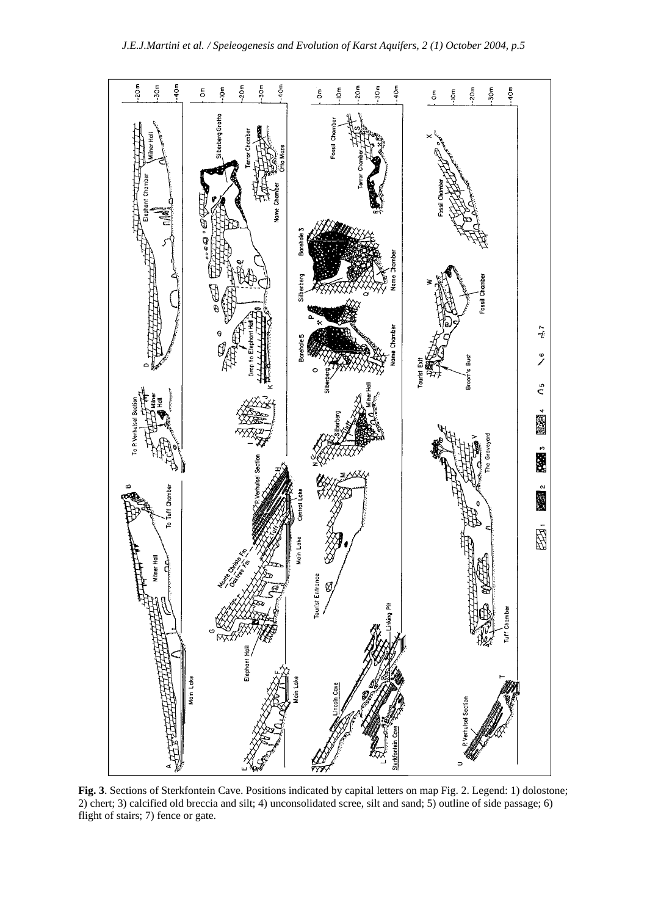

**Fig. 3**. Sections of Sterkfontein Cave. Positions indicated by capital letters on map Fig. 2. Legend: 1) dolostone; 2) chert; 3) calcified old breccia and silt; 4) unconsolidated scree, silt and sand; 5) outline of side passage; 6) flight of stairs; 7) fence or gate.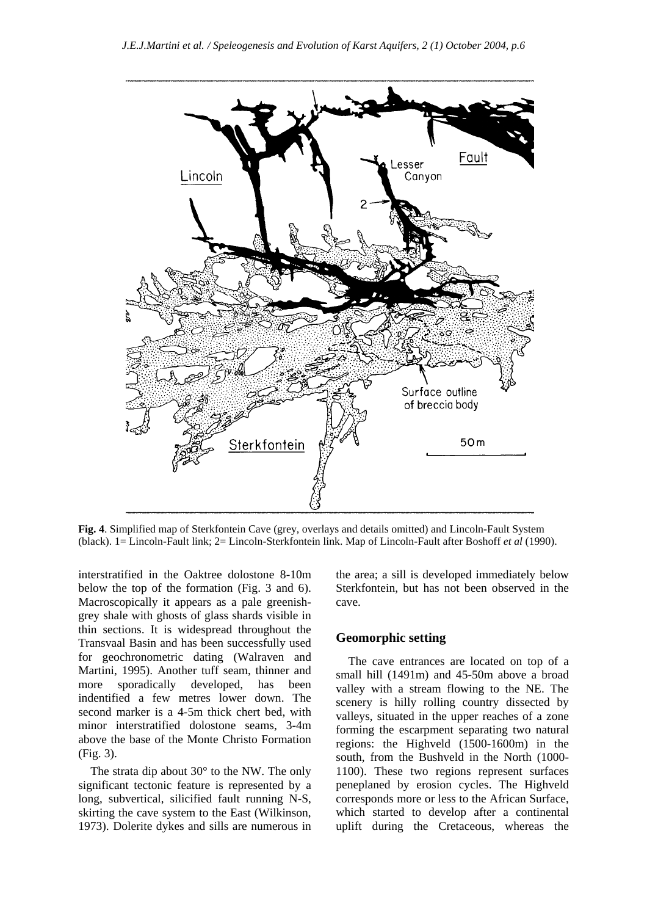

**Fig. 4**. Simplified map of Sterkfontein Cave (grey, overlays and details omitted) and Lincoln-Fault System (black). 1= Lincoln-Fault link; 2= Lincoln-Sterkfontein link. Map of Lincoln-Fault after Boshoff *et al* (1990).

interstratified in the Oaktree dolostone 8-10m below the top of the formation (Fig. 3 and 6). Macroscopically it appears as a pale greenishgrey shale with ghosts of glass shards visible in thin sections. It is widespread throughout the Transvaal Basin and has been successfully used for geochronometric dating (Walraven and Martini, 1995). Another tuff seam, thinner and more sporadically developed, has been indentified a few metres lower down. The second marker is a 4-5m thick chert bed, with minor interstratified dolostone seams, 3-4m above the base of the Monte Christo Formation (Fig. 3).

The strata dip about 30° to the NW. The only significant tectonic feature is represented by a long, subvertical, silicified fault running N-S, skirting the cave system to the East (Wilkinson, 1973). Dolerite dykes and sills are numerous in the area; a sill is developed immediately below Sterkfontein, but has not been observed in the cave.

#### **Geomorphic setting**

The cave entrances are located on top of a small hill (1491m) and 45-50m above a broad valley with a stream flowing to the NE. The scenery is hilly rolling country dissected by valleys, situated in the upper reaches of a zone forming the escarpment separating two natural regions: the Highveld (1500-1600m) in the south, from the Bushveld in the North (1000- 1100). These two regions represent surfaces peneplaned by erosion cycles. The Highveld corresponds more or less to the African Surface, which started to develop after a continental uplift during the Cretaceous, whereas the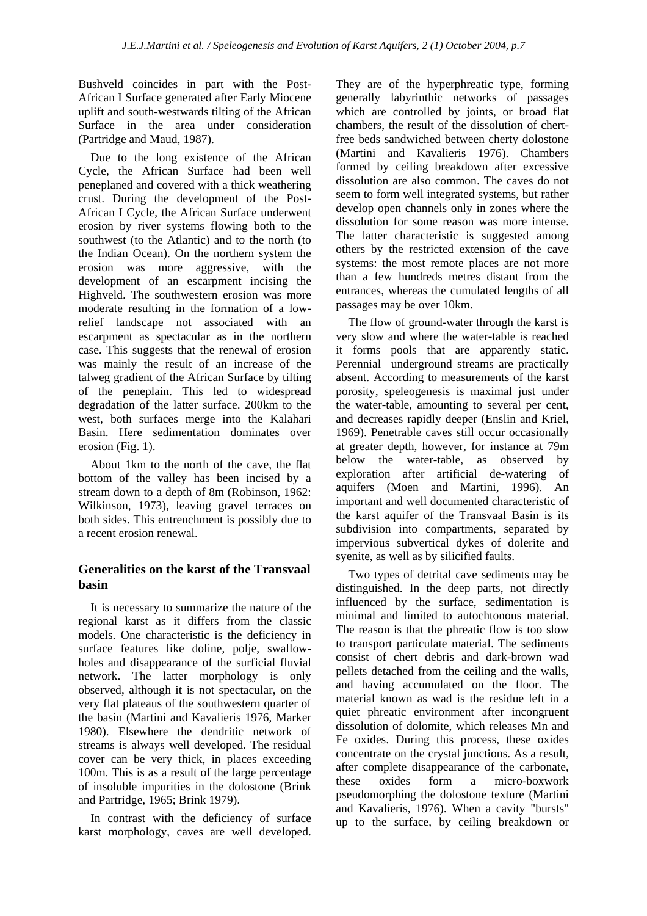Bushveld coincides in part with the Post-African I Surface generated after Early Miocene uplift and south-westwards tilting of the African Surface in the area under consideration (Partridge and Maud, 1987).

Due to the long existence of the African Cycle, the African Surface had been well peneplaned and covered with a thick weathering crust. During the development of the Post-African I Cycle, the African Surface underwent erosion by river systems flowing both to the southwest (to the Atlantic) and to the north (to the Indian Ocean). On the northern system the erosion was more aggressive, with the development of an escarpment incising the Highveld. The southwestern erosion was more moderate resulting in the formation of a lowrelief landscape not associated with an escarpment as spectacular as in the northern case. This suggests that the renewal of erosion was mainly the result of an increase of the talweg gradient of the African Surface by tilting of the peneplain. This led to widespread degradation of the latter surface. 200km to the west, both surfaces merge into the Kalahari Basin. Here sedimentation dominates over erosion (Fig. 1).

About 1km to the north of the cave, the flat bottom of the valley has been incised by a stream down to a depth of 8m (Robinson, 1962: Wilkinson, 1973), leaving gravel terraces on both sides. This entrenchment is possibly due to a recent erosion renewal.

# **Generalities on the karst of the Transvaal basin**

It is necessary to summarize the nature of the regional karst as it differs from the classic models. One characteristic is the deficiency in surface features like doline, polje, swallowholes and disappearance of the surficial fluvial network. The latter morphology is only observed, although it is not spectacular, on the very flat plateaus of the southwestern quarter of the basin (Martini and Kavalieris 1976, Marker 1980). Elsewhere the dendritic network of streams is always well developed. The residual cover can be very thick, in places exceeding 100m. This is as a result of the large percentage of insoluble impurities in the dolostone (Brink and Partridge, 1965; Brink 1979).

In contrast with the deficiency of surface karst morphology, caves are well developed. They are of the hyperphreatic type, forming generally labyrinthic networks of passages which are controlled by joints, or broad flat chambers, the result of the dissolution of chertfree beds sandwiched between cherty dolostone (Martini and Kavalieris 1976). Chambers formed by ceiling breakdown after excessive dissolution are also common. The caves do not seem to form well integrated systems, but rather develop open channels only in zones where the dissolution for some reason was more intense. The latter characteristic is suggested among others by the restricted extension of the cave systems: the most remote places are not more than a few hundreds metres distant from the entrances, whereas the cumulated lengths of all passages may be over 10km.

The flow of ground-water through the karst is very slow and where the water-table is reached it forms pools that are apparently static. Perennial underground streams are practically absent. According to measurements of the karst porosity, speleogenesis is maximal just under the water-table, amounting to several per cent, and decreases rapidly deeper (Enslin and Kriel, 1969). Penetrable caves still occur occasionally at greater depth, however, for instance at 79m below the water-table, as observed by exploration after artificial de-watering of aquifers (Moen and Martini, 1996). An important and well documented characteristic of the karst aquifer of the Transvaal Basin is its subdivision into compartments, separated by impervious subvertical dykes of dolerite and syenite, as well as by silicified faults.

Two types of detrital cave sediments may be distinguished. In the deep parts, not directly influenced by the surface, sedimentation is minimal and limited to autochtonous material. The reason is that the phreatic flow is too slow to transport particulate material. The sediments consist of chert debris and dark-brown wad pellets detached from the ceiling and the walls, and having accumulated on the floor. The material known as wad is the residue left in a quiet phreatic environment after incongruent dissolution of dolomite, which releases Mn and Fe oxides. During this process, these oxides concentrate on the crystal junctions. As a result, after complete disappearance of the carbonate, these oxides form a micro-boxwork pseudomorphing the dolostone texture (Martini and Kavalieris, 1976). When a cavity "bursts" up to the surface, by ceiling breakdown or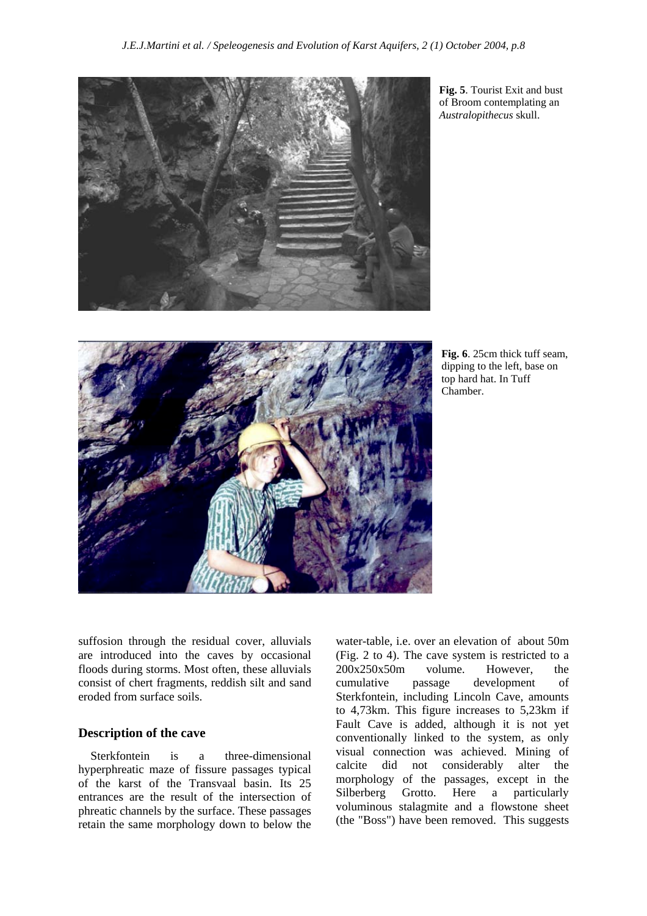

**Fig. 5**. Tourist Exit and bust of Broom contemplating an *Australopithecus* skull.



**Fig. 6**. 25cm thick tuff seam, dipping to the left, base on top hard hat. In Tuff Chamber.

suffosion through the residual cover, alluvials are introduced into the caves by occasional floods during storms. Most often, these alluvials consist of chert fragments, reddish silt and sand eroded from surface soils.

## **Description of the cave**

Sterkfontein is a three-dimensional hyperphreatic maze of fissure passages typical of the karst of the Transvaal basin. Its 25 entrances are the result of the intersection of phreatic channels by the surface. These passages retain the same morphology down to below the

water-table, i.e. over an elevation of about 50m (Fig. 2 to 4). The cave system is restricted to a 200x250x50m volume. However, the cumulative passage development of Sterkfontein, including Lincoln Cave, amounts to 4,73km. This figure increases to 5,23km if Fault Cave is added, although it is not yet conventionally linked to the system, as only visual connection was achieved. Mining of calcite did not considerably alter the morphology of the passages, except in the Silberberg Grotto. Here a particularly voluminous stalagmite and a flowstone sheet (the "Boss") have been removed. This suggests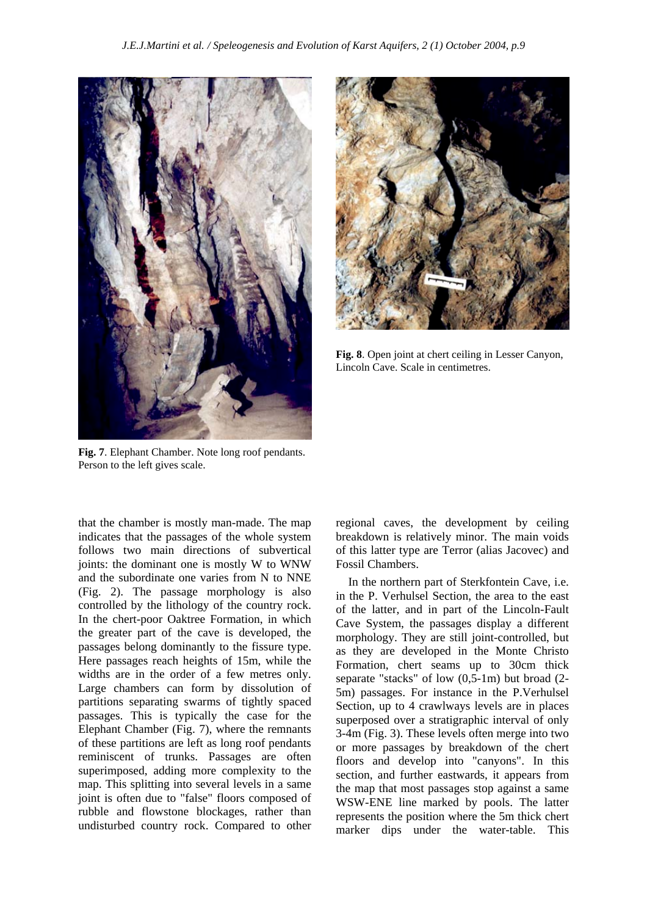



**Fig. 8**. Open joint at chert ceiling in Lesser Canyon, Lincoln Cave. Scale in centimetres.

**Fig. 7**. Elephant Chamber. Note long roof pendants. Person to the left gives scale.

that the chamber is mostly man-made. The map indicates that the passages of the whole system follows two main directions of subvertical joints: the dominant one is mostly W to WNW and the subordinate one varies from N to NNE (Fig. 2). The passage morphology is also controlled by the lithology of the country rock. In the chert-poor Oaktree Formation, in which the greater part of the cave is developed, the passages belong dominantly to the fissure type. Here passages reach heights of 15m, while the widths are in the order of a few metres only. Large chambers can form by dissolution of partitions separating swarms of tightly spaced passages. This is typically the case for the Elephant Chamber (Fig. 7), where the remnants of these partitions are left as long roof pendants reminiscent of trunks. Passages are often superimposed, adding more complexity to the map. This splitting into several levels in a same joint is often due to "false" floors composed of rubble and flowstone blockages, rather than undisturbed country rock. Compared to other

regional caves, the development by ceiling breakdown is relatively minor. The main voids of this latter type are Terror (alias Jacovec) and Fossil Chambers.

In the northern part of Sterkfontein Cave, i.e. in the P. Verhulsel Section, the area to the east of the latter, and in part of the Lincoln-Fault Cave System, the passages display a different morphology. They are still joint-controlled, but as they are developed in the Monte Christo Formation, chert seams up to 30cm thick separate "stacks" of low (0,5-1m) but broad (2- 5m) passages. For instance in the P.Verhulsel Section, up to 4 crawlways levels are in places superposed over a stratigraphic interval of only 3-4m (Fig. 3). These levels often merge into two or more passages by breakdown of the chert floors and develop into "canyons". In this section, and further eastwards, it appears from the map that most passages stop against a same WSW-ENE line marked by pools. The latter represents the position where the 5m thick chert marker dips under the water-table. This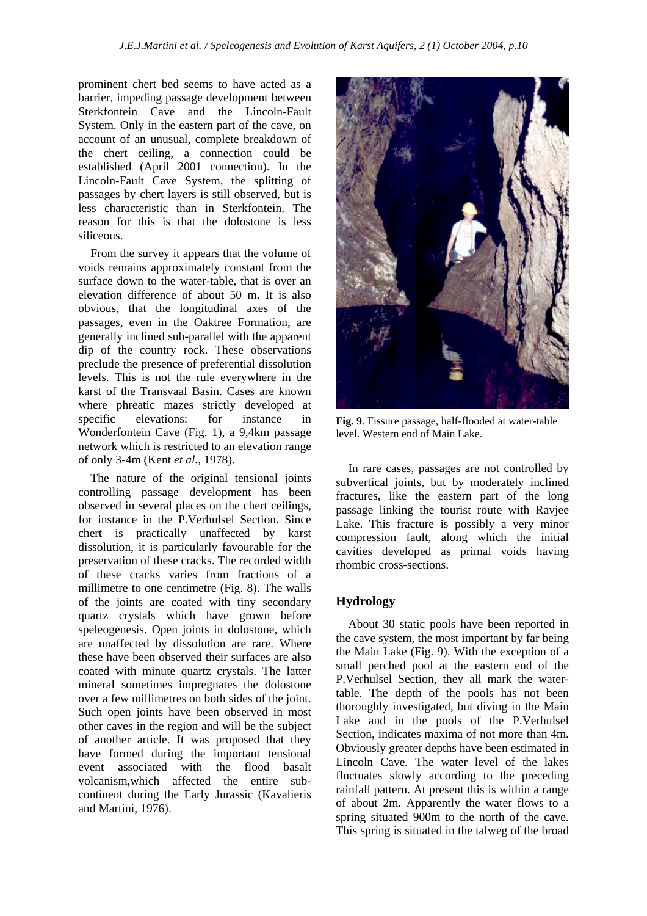prominent chert bed seems to have acted as a barrier, impeding passage development between Sterkfontein Cave and the Lincoln-Fault System. Only in the eastern part of the cave, on account of an unusual, complete breakdown of the chert ceiling, a connection could be established (April 2001 connection). In the Lincoln-Fault Cave System, the splitting of passages by chert layers is still observed, but is less characteristic than in Sterkfontein. The reason for this is that the dolostone is less siliceous.

From the survey it appears that the volume of voids remains approximately constant from the surface down to the water-table, that is over an elevation difference of about 50 m. It is also obvious, that the longitudinal axes of the passages, even in the Oaktree Formation, are generally inclined sub-parallel with the apparent dip of the country rock. These observations preclude the presence of preferential dissolution levels. This is not the rule everywhere in the karst of the Transvaal Basin. Cases are known where phreatic mazes strictly developed at specific elevations: for instance in Wonderfontein Cave (Fig. 1), a 9,4km passage network which is restricted to an elevation range of only 3-4m (Kent *et al.,* 1978).

The nature of the original tensional joints controlling passage development has been observed in several places on the chert ceilings, for instance in the P.Verhulsel Section. Since chert is practically unaffected by karst dissolution, it is particularly favourable for the preservation of these cracks. The recorded width of these cracks varies from fractions of a millimetre to one centimetre (Fig. 8). The walls of the joints are coated with tiny secondary quartz crystals which have grown before speleogenesis. Open joints in dolostone, which are unaffected by dissolution are rare. Where these have been observed their surfaces are also coated with minute quartz crystals. The latter mineral sometimes impregnates the dolostone over a few millimetres on both sides of the joint. Such open joints have been observed in most other caves in the region and will be the subject of another article. It was proposed that they have formed during the important tensional event associated with the flood basalt volcanism,which affected the entire subcontinent during the Early Jurassic (Kavalieris and Martini, 1976).



**Fig. 9**. Fissure passage, half-flooded at water-table level. Western end of Main Lake.

In rare cases, passages are not controlled by subvertical joints, but by moderately inclined fractures, like the eastern part of the long passage linking the tourist route with Ravjee Lake. This fracture is possibly a very minor compression fault, along which the initial cavities developed as primal voids having rhombic cross-sections.

## **Hydrology**

About 30 static pools have been reported in the cave system, the most important by far being the Main Lake (Fig. 9). With the exception of a small perched pool at the eastern end of the P.Verhulsel Section, they all mark the watertable. The depth of the pools has not been thoroughly investigated, but diving in the Main Lake and in the pools of the P.Verhulsel Section, indicates maxima of not more than 4m. Obviously greater depths have been estimated in Lincoln Cave. The water level of the lakes fluctuates slowly according to the preceding rainfall pattern. At present this is within a range of about 2m. Apparently the water flows to a spring situated 900m to the north of the cave. This spring is situated in the talweg of the broad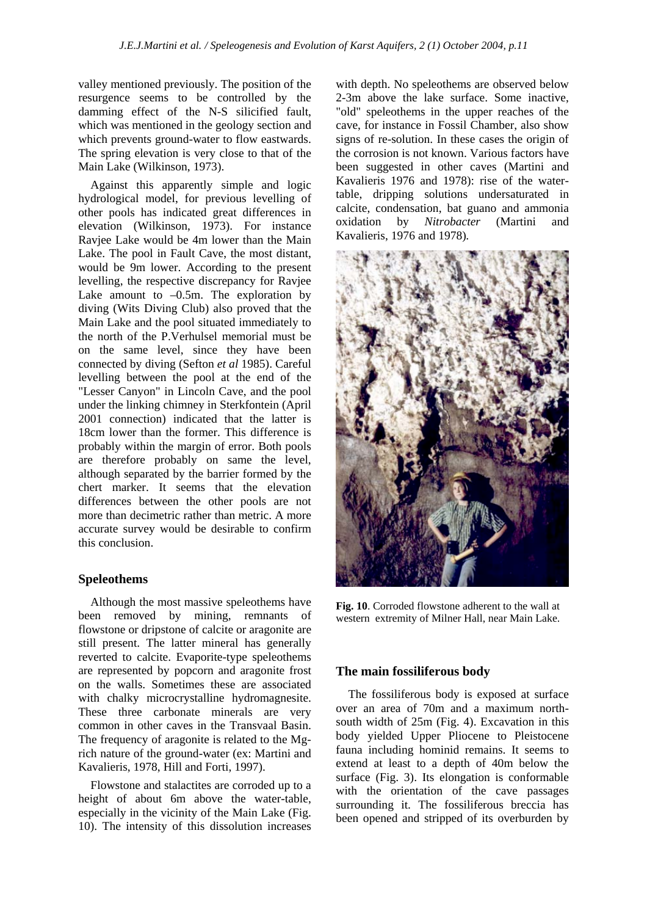valley mentioned previously. The position of the resurgence seems to be controlled by the damming effect of the N-S silicified fault, which was mentioned in the geology section and which prevents ground-water to flow eastwards. The spring elevation is very close to that of the Main Lake (Wilkinson, 1973).

Against this apparently simple and logic hydrological model, for previous levelling of other pools has indicated great differences in elevation (Wilkinson, 1973). For instance Ravjee Lake would be 4m lower than the Main Lake. The pool in Fault Cave, the most distant, would be 9m lower. According to the present levelling, the respective discrepancy for Ravjee Lake amount to  $-0.5$ m. The exploration by diving (Wits Diving Club) also proved that the Main Lake and the pool situated immediately to the north of the P.Verhulsel memorial must be on the same level, since they have been connected by diving (Sefton *et al* 1985). Careful levelling between the pool at the end of the "Lesser Canyon" in Lincoln Cave, and the pool under the linking chimney in Sterkfontein (April 2001 connection) indicated that the latter is 18cm lower than the former. This difference is probably within the margin of error. Both pools are therefore probably on same the level, although separated by the barrier formed by the chert marker. It seems that the elevation differences between the other pools are not more than decimetric rather than metric. A more accurate survey would be desirable to confirm this conclusion.

#### **Speleothems**

Although the most massive speleothems have been removed by mining, remnants of flowstone or dripstone of calcite or aragonite are still present. The latter mineral has generally reverted to calcite. Evaporite-type speleothems are represented by popcorn and aragonite frost on the walls. Sometimes these are associated with chalky microcrystalline hydromagnesite. These three carbonate minerals are very common in other caves in the Transvaal Basin. The frequency of aragonite is related to the Mgrich nature of the ground-water (ex: Martini and Kavalieris, 1978, Hill and Forti, 1997).

Flowstone and stalactites are corroded up to a height of about 6m above the water-table, especially in the vicinity of the Main Lake (Fig. 10). The intensity of this dissolution increases

with depth. No speleothems are observed below 2-3m above the lake surface. Some inactive, "old" speleothems in the upper reaches of the cave, for instance in Fossil Chamber, also show signs of re-solution. In these cases the origin of the corrosion is not known. Various factors have been suggested in other caves (Martini and Kavalieris 1976 and 1978): rise of the watertable, dripping solutions undersaturated in calcite, condensation, bat guano and ammonia oxidation by *Nitrobacter* (Martini and Kavalieris, 1976 and 1978)*.*



**Fig. 10**. Corroded flowstone adherent to the wall at western extremity of Milner Hall, near Main Lake.

#### **The main fossiliferous body**

The fossiliferous body is exposed at surface over an area of 70m and a maximum northsouth width of 25m (Fig. 4). Excavation in this body yielded Upper Pliocene to Pleistocene fauna including hominid remains. It seems to extend at least to a depth of 40m below the surface (Fig. 3). Its elongation is conformable with the orientation of the cave passages surrounding it. The fossiliferous breccia has been opened and stripped of its overburden by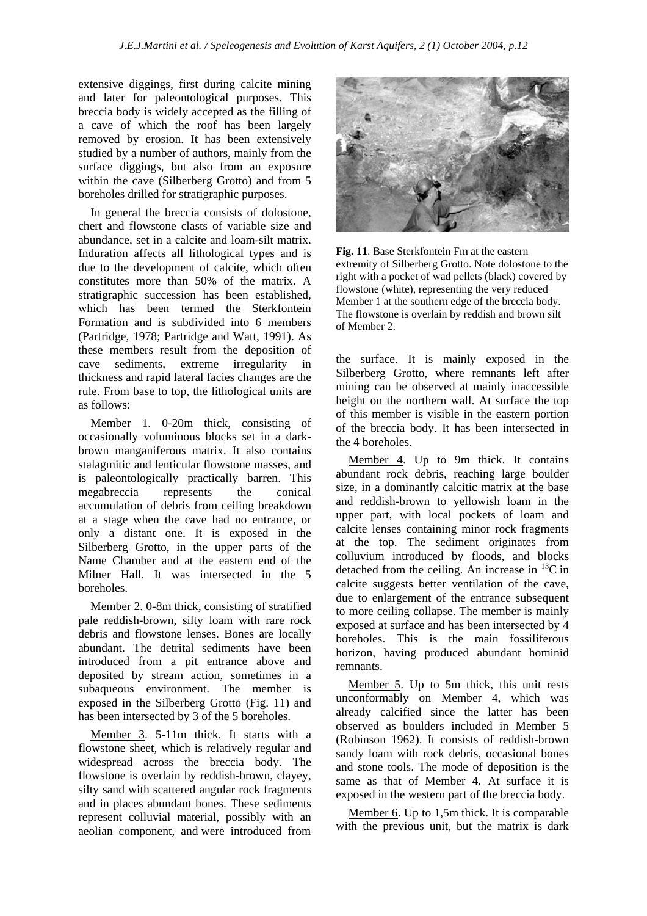extensive diggings, first during calcite mining and later for paleontological purposes. This breccia body is widely accepted as the filling of a cave of which the roof has been largely removed by erosion. It has been extensively studied by a number of authors, mainly from the surface diggings, but also from an exposure within the cave (Silberberg Grotto) and from 5 boreholes drilled for stratigraphic purposes.

In general the breccia consists of dolostone, chert and flowstone clasts of variable size and abundance, set in a calcite and loam-silt matrix. Induration affects all lithological types and is due to the development of calcite, which often constitutes more than 50% of the matrix. A stratigraphic succession has been established, which has been termed the Sterkfontein Formation and is subdivided into 6 members (Partridge, 1978; Partridge and Watt, 1991). As these members result from the deposition of cave sediments, extreme irregularity in thickness and rapid lateral facies changes are the rule. From base to top, the lithological units are as follows:

Member 1. 0-20m thick, consisting of occasionally voluminous blocks set in a darkbrown manganiferous matrix. It also contains stalagmitic and lenticular flowstone masses, and is paleontologically practically barren. This megabreccia represents the conical accumulation of debris from ceiling breakdown at a stage when the cave had no entrance, or only a distant one. It is exposed in the Silberberg Grotto, in the upper parts of the Name Chamber and at the eastern end of the Milner Hall. It was intersected in the 5 boreholes.

Member 2. 0-8m thick, consisting of stratified pale reddish-brown, silty loam with rare rock debris and flowstone lenses. Bones are locally abundant. The detrital sediments have been introduced from a pit entrance above and deposited by stream action, sometimes in a subaqueous environment. The member is exposed in the Silberberg Grotto (Fig. 11) and has been intersected by 3 of the 5 boreholes.

Member 3. 5-11m thick. It starts with a flowstone sheet, which is relatively regular and widespread across the breccia body. The flowstone is overlain by reddish-brown, clayey, silty sand with scattered angular rock fragments and in places abundant bones. These sediments represent colluvial material, possibly with an aeolian component, and were introduced from



**Fig. 11**. Base Sterkfontein Fm at the eastern extremity of Silberberg Grotto. Note dolostone to the right with a pocket of wad pellets (black) covered by flowstone (white), representing the very reduced Member 1 at the southern edge of the breccia body. The flowstone is overlain by reddish and brown silt of Member 2.

the surface. It is mainly exposed in the Silberberg Grotto, where remnants left after mining can be observed at mainly inaccessible height on the northern wall. At surface the top of this member is visible in the eastern portion of the breccia body. It has been intersected in the 4 boreholes.

Member 4. Up to 9m thick. It contains abundant rock debris, reaching large boulder size, in a dominantly calcitic matrix at the base and reddish-brown to yellowish loam in the upper part, with local pockets of loam and calcite lenses containing minor rock fragments at the top. The sediment originates from colluvium introduced by floods, and blocks detached from the ceiling. An increase in  ${}^{13}C$  in calcite suggests better ventilation of the cave, due to enlargement of the entrance subsequent to more ceiling collapse. The member is mainly exposed at surface and has been intersected by 4 boreholes. This is the main fossiliferous horizon, having produced abundant hominid remnants.

Member 5. Up to 5m thick, this unit rests unconformably on Member 4, which was already calcified since the latter has been observed as boulders included in Member 5 (Robinson 1962). It consists of reddish-brown sandy loam with rock debris, occasional bones and stone tools. The mode of deposition is the same as that of Member 4. At surface it is exposed in the western part of the breccia body.

Member 6. Up to 1,5m thick. It is comparable with the previous unit, but the matrix is dark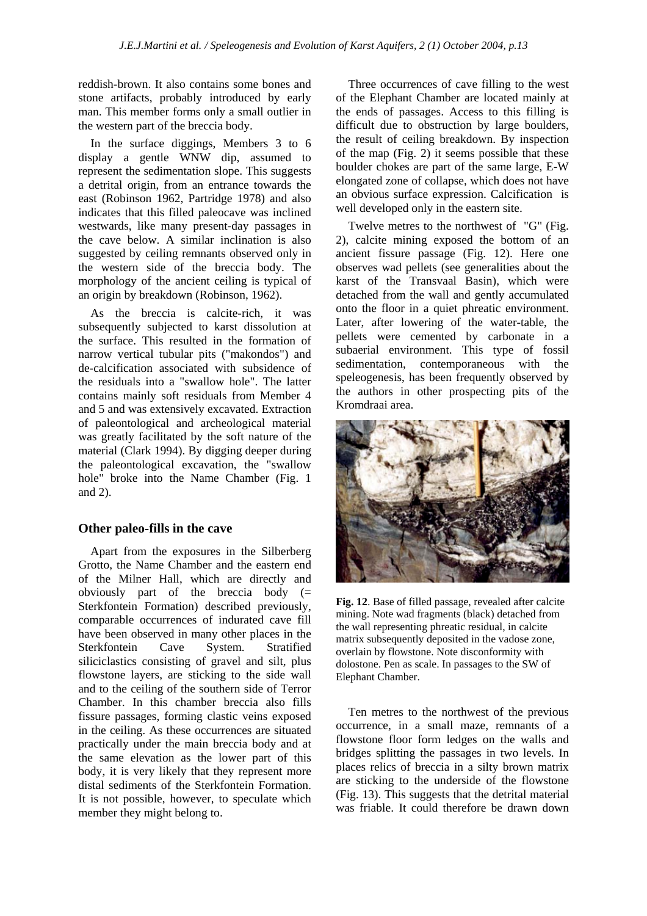reddish-brown. It also contains some bones and stone artifacts, probably introduced by early man. This member forms only a small outlier in the western part of the breccia body.

In the surface diggings, Members 3 to 6 display a gentle WNW dip, assumed to represent the sedimentation slope. This suggests a detrital origin, from an entrance towards the east (Robinson 1962, Partridge 1978) and also indicates that this filled paleocave was inclined westwards, like many present-day passages in the cave below. A similar inclination is also suggested by ceiling remnants observed only in the western side of the breccia body. The morphology of the ancient ceiling is typical of an origin by breakdown (Robinson, 1962).

As the breccia is calcite-rich, it was subsequently subjected to karst dissolution at the surface. This resulted in the formation of narrow vertical tubular pits ("makondos") and de-calcification associated with subsidence of the residuals into a "swallow hole". The latter contains mainly soft residuals from Member 4 and 5 and was extensively excavated. Extraction of paleontological and archeological material was greatly facilitated by the soft nature of the material (Clark 1994). By digging deeper during the paleontological excavation, the "swallow hole" broke into the Name Chamber (Fig. 1 and 2).

#### **Other paleo-fills in the cave**

Apart from the exposures in the Silberberg Grotto, the Name Chamber and the eastern end of the Milner Hall, which are directly and obviously part of the breccia body (= Sterkfontein Formation) described previously, comparable occurrences of indurated cave fill have been observed in many other places in the Sterkfontein Cave System. Stratified siliciclastics consisting of gravel and silt, plus flowstone layers, are sticking to the side wall and to the ceiling of the southern side of Terror Chamber. In this chamber breccia also fills fissure passages, forming clastic veins exposed in the ceiling. As these occurrences are situated practically under the main breccia body and at the same elevation as the lower part of this body, it is very likely that they represent more distal sediments of the Sterkfontein Formation. It is not possible, however, to speculate which member they might belong to.

Three occurrences of cave filling to the west of the Elephant Chamber are located mainly at the ends of passages. Access to this filling is difficult due to obstruction by large boulders, the result of ceiling breakdown. By inspection of the map (Fig. 2) it seems possible that these boulder chokes are part of the same large, E-W elongated zone of collapse, which does not have an obvious surface expression. Calcification is well developed only in the eastern site.

Twelve metres to the northwest of "G" (Fig. 2), calcite mining exposed the bottom of an ancient fissure passage (Fig. 12). Here one observes wad pellets (see generalities about the karst of the Transvaal Basin), which were detached from the wall and gently accumulated onto the floor in a quiet phreatic environment. Later, after lowering of the water-table, the pellets were cemented by carbonate in a subaerial environment. This type of fossil sedimentation, contemporaneous with the speleogenesis, has been frequently observed by the authors in other prospecting pits of the Kromdraai area.



**Fig. 12**. Base of filled passage, revealed after calcite mining. Note wad fragments (black) detached from the wall representing phreatic residual, in calcite matrix subsequently deposited in the vadose zone, overlain by flowstone. Note disconformity with dolostone. Pen as scale. In passages to the SW of Elephant Chamber.

Ten metres to the northwest of the previous occurrence, in a small maze, remnants of a flowstone floor form ledges on the walls and bridges splitting the passages in two levels. In places relics of breccia in a silty brown matrix are sticking to the underside of the flowstone (Fig. 13). This suggests that the detrital material was friable. It could therefore be drawn down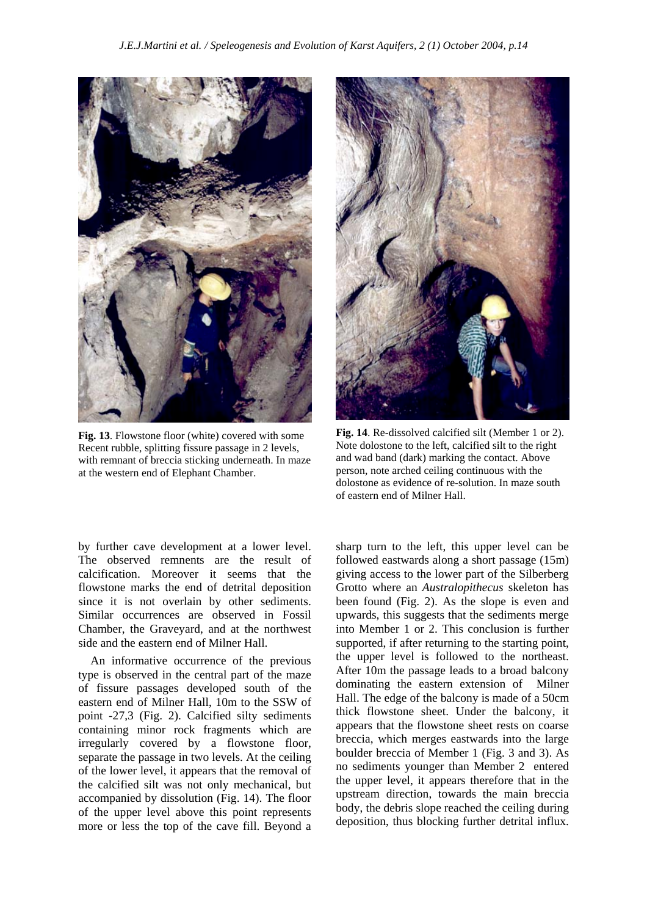

**Fig. 13**. Flowstone floor (white) covered with some Recent rubble, splitting fissure passage in 2 levels, with remnant of breccia sticking underneath. In maze at the western end of Elephant Chamber.



**Fig. 14**. Re-dissolved calcified silt (Member 1 or 2). Note dolostone to the left, calcified silt to the right and wad band (dark) marking the contact. Above person, note arched ceiling continuous with the dolostone as evidence of re-solution. In maze south of eastern end of Milner Hall.

by further cave development at a lower level. The observed remnents are the result of calcification. Moreover it seems that the flowstone marks the end of detrital deposition since it is not overlain by other sediments. Similar occurrences are observed in Fossil Chamber, the Graveyard, and at the northwest side and the eastern end of Milner Hall.

An informative occurrence of the previous type is observed in the central part of the maze of fissure passages developed south of the eastern end of Milner Hall, 10m to the SSW of point -27,3 (Fig. 2). Calcified silty sediments containing minor rock fragments which are irregularly covered by a flowstone floor, separate the passage in two levels. At the ceiling of the lower level, it appears that the removal of the calcified silt was not only mechanical, but accompanied by dissolution (Fig. 14). The floor of the upper level above this point represents more or less the top of the cave fill. Beyond a

sharp turn to the left, this upper level can be followed eastwards along a short passage (15m) giving access to the lower part of the Silberberg Grotto where an *Australopithecus* skeleton has been found (Fig. 2). As the slope is even and upwards, this suggests that the sediments merge into Member 1 or 2. This conclusion is further supported, if after returning to the starting point, the upper level is followed to the northeast. After 10m the passage leads to a broad balcony dominating the eastern extension of Milner Hall. The edge of the balcony is made of a 50cm thick flowstone sheet. Under the balcony, it appears that the flowstone sheet rests on coarse breccia, which merges eastwards into the large boulder breccia of Member 1 (Fig. 3 and 3). As no sediments younger than Member 2 entered the upper level, it appears therefore that in the upstream direction, towards the main breccia body, the debris slope reached the ceiling during deposition, thus blocking further detrital influx.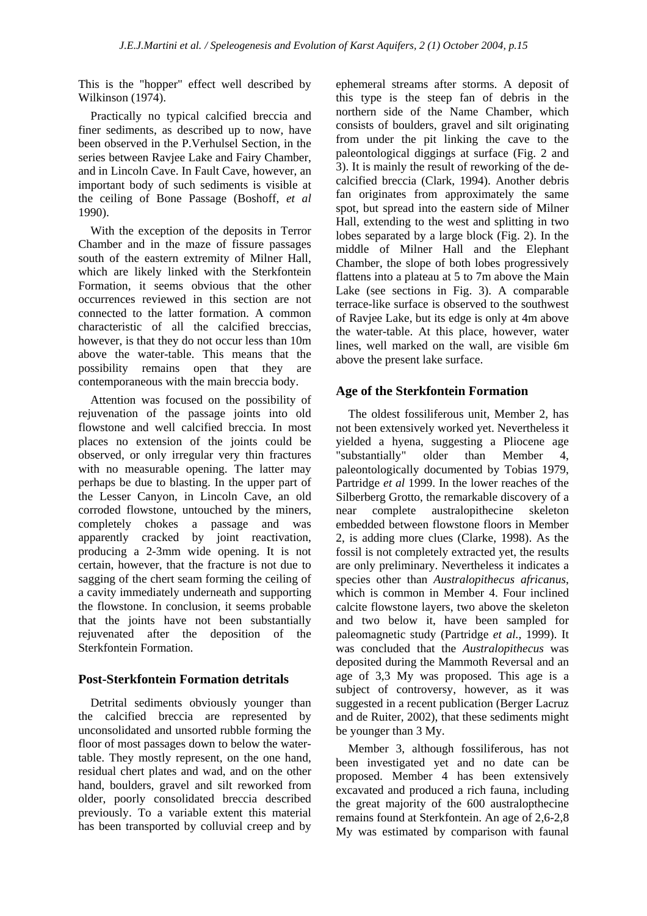This is the "hopper" effect well described by Wilkinson (1974).

Practically no typical calcified breccia and finer sediments, as described up to now, have been observed in the P.Verhulsel Section, in the series between Ravjee Lake and Fairy Chamber, and in Lincoln Cave. In Fault Cave, however, an important body of such sediments is visible at the ceiling of Bone Passage (Boshoff, *et al* 1990).

With the exception of the deposits in Terror Chamber and in the maze of fissure passages south of the eastern extremity of Milner Hall, which are likely linked with the Sterkfontein Formation, it seems obvious that the other occurrences reviewed in this section are not connected to the latter formation. A common characteristic of all the calcified breccias, however, is that they do not occur less than 10m above the water-table. This means that the possibility remains open that they are contemporaneous with the main breccia body.

Attention was focused on the possibility of rejuvenation of the passage joints into old flowstone and well calcified breccia. In most places no extension of the joints could be observed, or only irregular very thin fractures with no measurable opening. The latter may perhaps be due to blasting. In the upper part of the Lesser Canyon, in Lincoln Cave, an old corroded flowstone, untouched by the miners, completely chokes a passage and was apparently cracked by joint reactivation, producing a 2-3mm wide opening. It is not certain, however, that the fracture is not due to sagging of the chert seam forming the ceiling of a cavity immediately underneath and supporting the flowstone. In conclusion, it seems probable that the joints have not been substantially rejuvenated after the deposition of the Sterkfontein Formation.

#### **Post-Sterkfontein Formation detritals**

Detrital sediments obviously younger than the calcified breccia are represented by unconsolidated and unsorted rubble forming the floor of most passages down to below the watertable. They mostly represent, on the one hand, residual chert plates and wad, and on the other hand, boulders, gravel and silt reworked from older, poorly consolidated breccia described previously. To a variable extent this material has been transported by colluvial creep and by

ephemeral streams after storms. A deposit of this type is the steep fan of debris in the northern side of the Name Chamber, which consists of boulders, gravel and silt originating from under the pit linking the cave to the paleontological diggings at surface (Fig. 2 and 3). It is mainly the result of reworking of the decalcified breccia (Clark, 1994). Another debris fan originates from approximately the same spot, but spread into the eastern side of Milner Hall, extending to the west and splitting in two lobes separated by a large block (Fig. 2). In the middle of Milner Hall and the Elephant Chamber, the slope of both lobes progressively flattens into a plateau at 5 to 7m above the Main Lake (see sections in Fig. 3). A comparable terrace-like surface is observed to the southwest of Ravjee Lake, but its edge is only at 4m above the water-table. At this place, however, water lines, well marked on the wall, are visible 6m above the present lake surface.

#### **Age of the Sterkfontein Formation**

The oldest fossiliferous unit, Member 2, has not been extensively worked yet. Nevertheless it yielded a hyena, suggesting a Pliocene age "substantially" older than Member 4, paleontologically documented by Tobias 1979, Partridge *et al* 1999. In the lower reaches of the Silberberg Grotto, the remarkable discovery of a near complete australopithecine skeleton embedded between flowstone floors in Member 2, is adding more clues (Clarke, 1998). As the fossil is not completely extracted yet, the results are only preliminary. Nevertheless it indicates a species other than *Australopithecus africanus*, which is common in Member 4. Four inclined calcite flowstone layers, two above the skeleton and two below it, have been sampled for paleomagnetic study (Partridge *et al.,* 1999). It was concluded that the *Australopithecus* was deposited during the Mammoth Reversal and an age of 3,3 My was proposed. This age is a subject of controversy, however, as it was suggested in a recent publication (Berger Lacruz and de Ruiter, 2002), that these sediments might be younger than 3 My.

Member 3, although fossiliferous, has not been investigated yet and no date can be proposed. Member 4 has been extensively excavated and produced a rich fauna, including the great majority of the 600 australopthecine remains found at Sterkfontein. An age of 2,6-2,8 My was estimated by comparison with faunal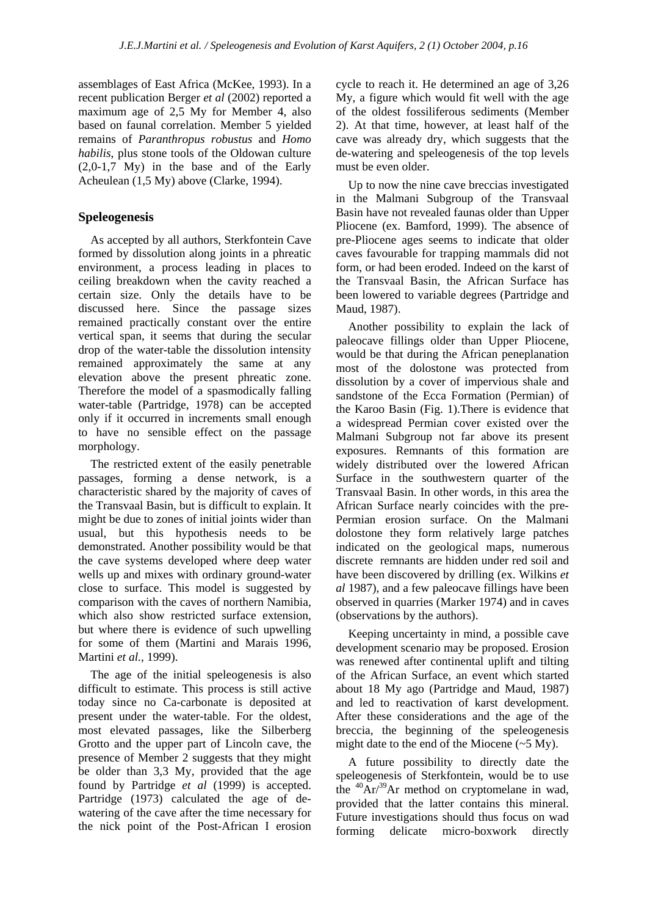assemblages of East Africa (McKee, 1993). In a recent publication Berger *et al* (2002) reported a maximum age of 2,5 My for Member 4, also based on faunal correlation. Member 5 yielded remains of *Paranthropus robustus* and *Homo habilis*, plus stone tools of the Oldowan culture (2,0-1,7 My) in the base and of the Early Acheulean (1,5 My) above (Clarke, 1994).

## **Speleogenesis**

As accepted by all authors, Sterkfontein Cave formed by dissolution along joints in a phreatic environment, a process leading in places to ceiling breakdown when the cavity reached a certain size. Only the details have to be discussed here. Since the passage sizes remained practically constant over the entire vertical span, it seems that during the secular drop of the water-table the dissolution intensity remained approximately the same at any elevation above the present phreatic zone. Therefore the model of a spasmodically falling water-table (Partridge, 1978) can be accepted only if it occurred in increments small enough to have no sensible effect on the passage morphology.

The restricted extent of the easily penetrable passages, forming a dense network, is a characteristic shared by the majority of caves of the Transvaal Basin, but is difficult to explain. It might be due to zones of initial joints wider than usual, but this hypothesis needs to be demonstrated. Another possibility would be that the cave systems developed where deep water wells up and mixes with ordinary ground-water close to surface. This model is suggested by comparison with the caves of northern Namibia, which also show restricted surface extension. but where there is evidence of such upwelling for some of them (Martini and Marais 1996, Martini *et al.,* 1999).

The age of the initial speleogenesis is also difficult to estimate. This process is still active today since no Ca-carbonate is deposited at present under the water-table. For the oldest, most elevated passages, like the Silberberg Grotto and the upper part of Lincoln cave, the presence of Member 2 suggests that they might be older than 3,3 My, provided that the age found by Partridge *et al* (1999) is accepted. Partridge (1973) calculated the age of dewatering of the cave after the time necessary for the nick point of the Post-African I erosion cycle to reach it. He determined an age of 3,26 My, a figure which would fit well with the age of the oldest fossiliferous sediments (Member 2). At that time, however, at least half of the cave was already dry, which suggests that the de-watering and speleogenesis of the top levels must be even older.

Up to now the nine cave breccias investigated in the Malmani Subgroup of the Transvaal Basin have not revealed faunas older than Upper Pliocene (ex. Bamford, 1999). The absence of pre-Pliocene ages seems to indicate that older caves favourable for trapping mammals did not form, or had been eroded. Indeed on the karst of the Transvaal Basin, the African Surface has been lowered to variable degrees (Partridge and Maud, 1987).

Another possibility to explain the lack of paleocave fillings older than Upper Pliocene, would be that during the African peneplanation most of the dolostone was protected from dissolution by a cover of impervious shale and sandstone of the Ecca Formation (Permian) of the Karoo Basin (Fig. 1).There is evidence that a widespread Permian cover existed over the Malmani Subgroup not far above its present exposures. Remnants of this formation are widely distributed over the lowered African Surface in the southwestern quarter of the Transvaal Basin. In other words, in this area the African Surface nearly coincides with the pre-Permian erosion surface. On the Malmani dolostone they form relatively large patches indicated on the geological maps, numerous discrete remnants are hidden under red soil and have been discovered by drilling (ex. Wilkins *et al* 1987), and a few paleocave fillings have been observed in quarries (Marker 1974) and in caves (observations by the authors).

Keeping uncertainty in mind, a possible cave development scenario may be proposed. Erosion was renewed after continental uplift and tilting of the African Surface, an event which started about 18 My ago (Partridge and Maud, 1987) and led to reactivation of karst development. After these considerations and the age of the breccia, the beginning of the speleogenesis might date to the end of the Miocene  $(\sim 5 \text{ My})$ .

A future possibility to directly date the speleogenesis of Sterkfontein, would be to use the  ${}^{40}\text{Ar}^{39}\text{Ar}$  method on cryptomelane in wad, provided that the latter contains this mineral. Future investigations should thus focus on wad forming delicate micro-boxwork directly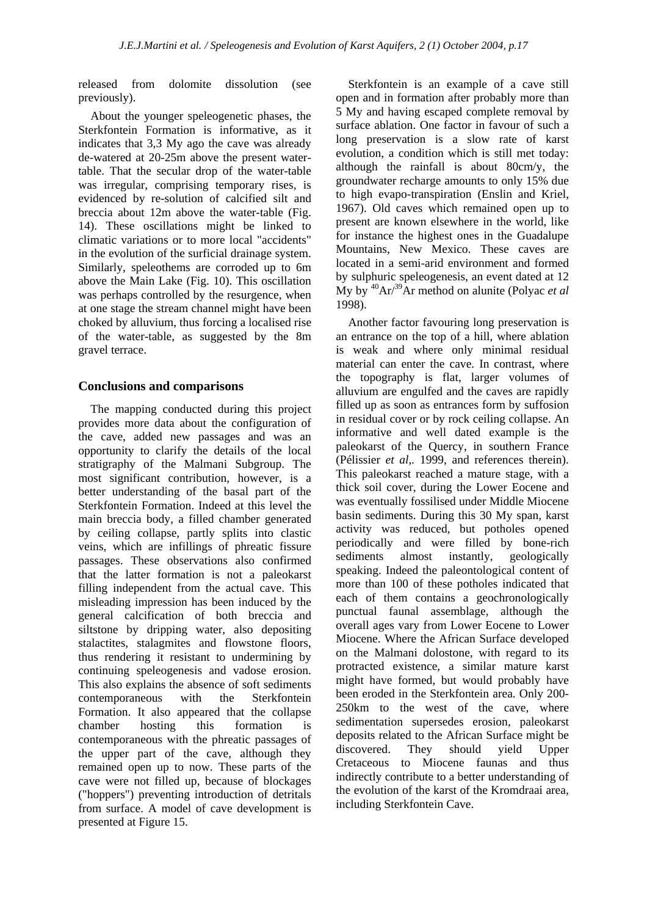released from dolomite dissolution (see previously).

About the younger speleogenetic phases, the Sterkfontein Formation is informative, as it indicates that 3,3 My ago the cave was already de-watered at 20-25m above the present watertable. That the secular drop of the water-table was irregular, comprising temporary rises, is evidenced by re-solution of calcified silt and breccia about 12m above the water-table (Fig. 14). These oscillations might be linked to climatic variations or to more local "accidents" in the evolution of the surficial drainage system. Similarly, speleothems are corroded up to 6m above the Main Lake (Fig. 10). This oscillation was perhaps controlled by the resurgence, when at one stage the stream channel might have been choked by alluvium, thus forcing a localised rise of the water-table, as suggested by the 8m gravel terrace.

## **Conclusions and comparisons**

The mapping conducted during this project provides more data about the configuration of the cave, added new passages and was an opportunity to clarify the details of the local stratigraphy of the Malmani Subgroup. The most significant contribution, however, is a better understanding of the basal part of the Sterkfontein Formation. Indeed at this level the main breccia body, a filled chamber generated by ceiling collapse, partly splits into clastic veins, which are infillings of phreatic fissure passages. These observations also confirmed that the latter formation is not a paleokarst filling independent from the actual cave. This misleading impression has been induced by the general calcification of both breccia and siltstone by dripping water, also depositing stalactites, stalagmites and flowstone floors, thus rendering it resistant to undermining by continuing speleogenesis and vadose erosion. This also explains the absence of soft sediments contemporaneous with the Sterkfontein Formation. It also appeared that the collapse chamber hosting this formation is contemporaneous with the phreatic passages of the upper part of the cave, although they remained open up to now. These parts of the cave were not filled up, because of blockages ("hoppers") preventing introduction of detritals from surface. A model of cave development is presented at Figure 15.

Sterkfontein is an example of a cave still open and in formation after probably more than 5 My and having escaped complete removal by surface ablation. One factor in favour of such a long preservation is a slow rate of karst evolution, a condition which is still met today: although the rainfall is about 80cm/y, the groundwater recharge amounts to only 15% due to high evapo-transpiration (Enslin and Kriel, 1967). Old caves which remained open up to present are known elsewhere in the world, like for instance the highest ones in the Guadalupe Mountains, New Mexico. These caves are located in a semi-arid environment and formed by sulphuric speleogenesis, an event dated at 12 My by 40Ar/39Ar method on alunite (Polyac *et al* 1998).

Another factor favouring long preservation is an entrance on the top of a hill, where ablation is weak and where only minimal residual material can enter the cave. In contrast, where the topography is flat, larger volumes of alluvium are engulfed and the caves are rapidly filled up as soon as entrances form by suffosion in residual cover or by rock ceiling collapse. An informative and well dated example is the paleokarst of the Quercy, in southern France (Pélissier *et al,.* 1999, and references therein). This paleokarst reached a mature stage, with a thick soil cover, during the Lower Eocene and was eventually fossilised under Middle Miocene basin sediments. During this 30 My span, karst activity was reduced, but potholes opened periodically and were filled by bone-rich sediments almost instantly, geologically speaking. Indeed the paleontological content of more than 100 of these potholes indicated that each of them contains a geochronologically punctual faunal assemblage, although the overall ages vary from Lower Eocene to Lower Miocene. Where the African Surface developed on the Malmani dolostone, with regard to its protracted existence, a similar mature karst might have formed, but would probably have been eroded in the Sterkfontein area. Only 200- 250km to the west of the cave, where sedimentation supersedes erosion, paleokarst deposits related to the African Surface might be discovered. They should yield Upper Cretaceous to Miocene faunas and thus indirectly contribute to a better understanding of the evolution of the karst of the Kromdraai area, including Sterkfontein Cave.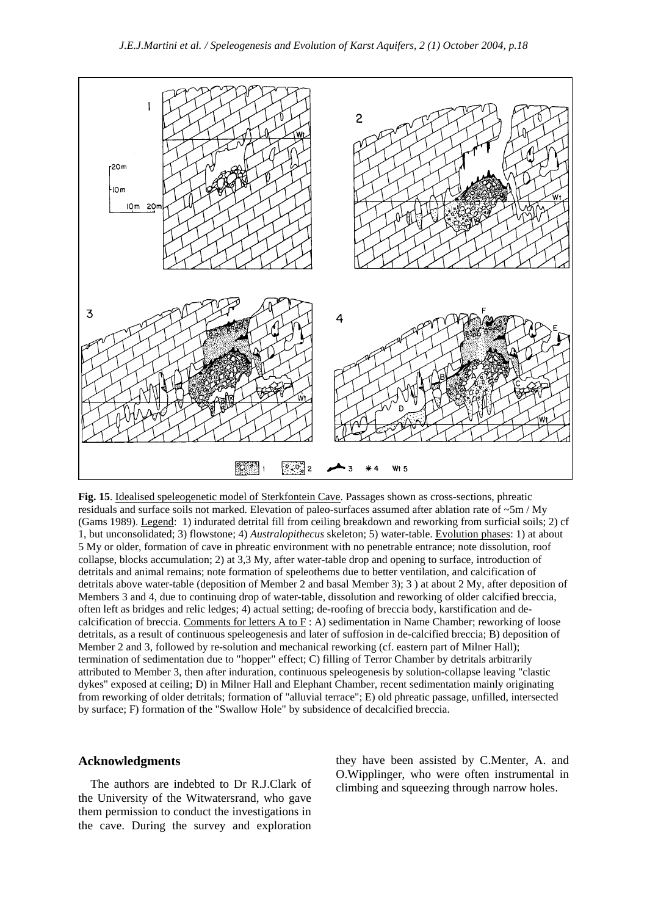

**Fig. 15**. Idealised speleogenetic model of Sterkfontein Cave. Passages shown as cross-sections, phreatic residuals and surface soils not marked. Elevation of paleo-surfaces assumed after ablation rate of  $\sim$ 5m / My (Gams 1989). Legend: 1) indurated detrital fill from ceiling breakdown and reworking from surficial soils; 2) cf 1, but unconsolidated; 3) flowstone; 4) *Australopithecus* skeleton; 5) water-table. Evolution phases: 1) at about 5 My or older, formation of cave in phreatic environment with no penetrable entrance; note dissolution, roof collapse, blocks accumulation; 2) at 3,3 My, after water-table drop and opening to surface, introduction of detritals and animal remains; note formation of speleothems due to better ventilation, and calcification of detritals above water-table (deposition of Member 2 and basal Member 3); 3 ) at about 2 My, after deposition of Members 3 and 4, due to continuing drop of water-table, dissolution and reworking of older calcified breccia, often left as bridges and relic ledges; 4) actual setting; de-roofing of breccia body, karstification and decalcification of breccia. Comments for letters  $A$  to  $E : A$ ) sedimentation in Name Chamber; reworking of loose detritals, as a result of continuous speleogenesis and later of suffosion in de-calcified breccia; B) deposition of Member 2 and 3, followed by re-solution and mechanical reworking (cf. eastern part of Milner Hall); termination of sedimentation due to "hopper" effect; C) filling of Terror Chamber by detritals arbitrarily attributed to Member 3, then after induration, continuous speleogenesis by solution-collapse leaving "clastic dykes" exposed at ceiling; D) in Milner Hall and Elephant Chamber, recent sedimentation mainly originating from reworking of older detritals; formation of "alluvial terrace"; E) old phreatic passage, unfilled, intersected by surface; F) formation of the "Swallow Hole" by subsidence of decalcified breccia.

#### **Acknowledgments**

The authors are indebted to Dr R.J.Clark of the University of the Witwatersrand, who gave them permission to conduct the investigations in the cave. During the survey and exploration

they have been assisted by C.Menter, A. and O.Wipplinger, who were often instrumental in climbing and squeezing through narrow holes.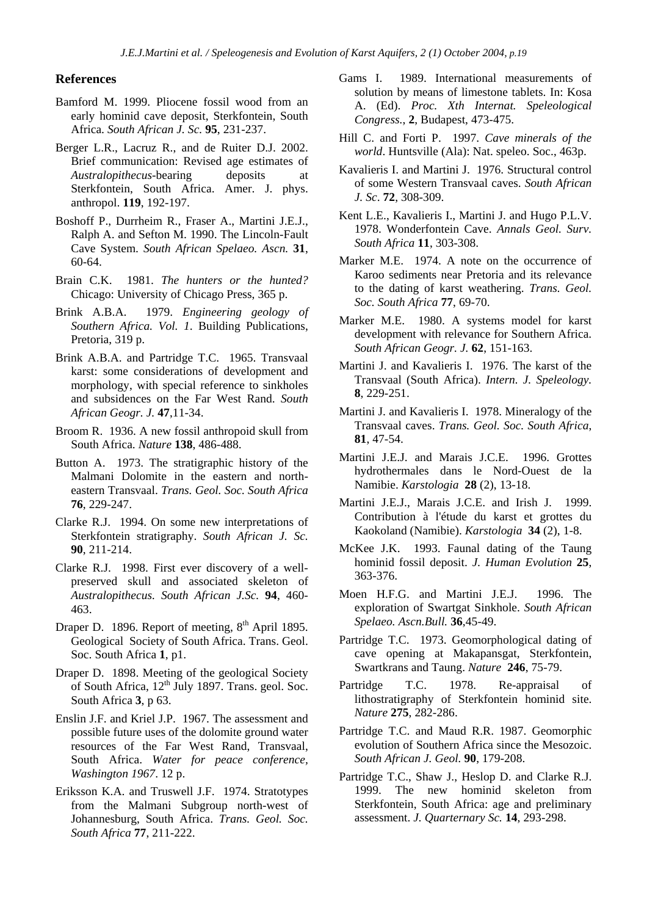#### **References**

- Bamford M. 1999. Pliocene fossil wood from an early hominid cave deposit, Sterkfontein, South Africa. *South African J. Sc.* **95**, 231-237.
- Berger L.R., Lacruz R., and de Ruiter D.J. 2002. Brief communication: Revised age estimates of *Australopithecus*-bearing deposits at Sterkfontein, South Africa. Amer. J. phys. anthropol. **119**, 192-197.
- Boshoff P., Durrheim R., Fraser A., Martini J.E.J., Ralph A. and Sefton M. 1990. The Lincoln-Fault Cave System. *South African Spelaeo. Ascn.* **31**, 60-64.
- Brain C.K. 1981. *The hunters or the hunted?* Chicago: University of Chicago Press, 365 p.
- Brink A.B.A. 1979. *Engineering geology of Southern Africa. Vol. 1*. Building Publications, Pretoria, 319 p.
- Brink A.B.A. and Partridge T.C. 1965. Transvaal karst: some considerations of development and morphology, with special reference to sinkholes and subsidences on the Far West Rand. *South African Geogr. J.* **47**,11-34.
- Broom R. 1936. A new fossil anthropoid skull from South Africa. *Nature* **138**, 486-488.
- Button A. 1973. The stratigraphic history of the Malmani Dolomite in the eastern and northeastern Transvaal. *Trans. Geol. Soc. South Africa* **76**, 229-247.
- Clarke R.J. 1994. On some new interpretations of Sterkfontein stratigraphy. *South African J. Sc.* **90**, 211-214.
- Clarke R.J. 1998. First ever discovery of a wellpreserved skull and associated skeleton of *Australopithecus. South African J.Sc.* **94**, 460- 463.
- Draper D. 1896. Report of meeting, 8<sup>th</sup> April 1895. Geological Society of South Africa. Trans. Geol. Soc. South Africa **1**, p1.
- Draper D. 1898. Meeting of the geological Society of South Africa,  $12^{th}$  July 1897. Trans. geol. Soc. South Africa **3**, p 63.
- Enslin J.F. and Kriel J.P. 1967. The assessment and possible future uses of the dolomite ground water resources of the Far West Rand, Transvaal, South Africa. *Water for peace conference, Washington 1967*. 12 p.
- Eriksson K.A. and Truswell J.F. 1974. Stratotypes from the Malmani Subgroup north-west of Johannesburg, South Africa. *Trans. Geol. Soc. South Africa* **77**, 211-222.
- Gams I. 1989. International measurements of solution by means of limestone tablets. In: Kosa A. (Ed). *Proc. Xth Internat. Speleological Congress.*, **2**, Budapest, 473-475.
- Hill C. and Forti P. 1997. *Cave minerals of the world*. Huntsville (Ala): Nat. speleo. Soc., 463p.
- Kavalieris I. and Martini J. 1976. Structural control of some Western Transvaal caves. *South African J. Sc*. **72**, 308-309.
- Kent L.E., Kavalieris I., Martini J. and Hugo P.L.V. 1978. Wonderfontein Cave. *Annals Geol. Surv. South Africa* **11**, 303-308.
- Marker M.E. 1974. A note on the occurrence of Karoo sediments near Pretoria and its relevance to the dating of karst weathering. *Trans. Geol. Soc. South Africa* **77**, 69-70.
- Marker M.E. 1980. A systems model for karst development with relevance for Southern Africa. *South African Geogr. J.* **62**, 151-163.
- Martini J. and Kavalieris I. 1976. The karst of the Transvaal (South Africa). *Intern. J. Speleology.* **8**, 229-251.
- Martini J. and Kavalieris I. 1978. Mineralogy of the Transvaal caves. *Trans. Geol. Soc. South Africa*, **81**, 47-54.
- Martini J.E.J. and Marais J.C.E. 1996. Grottes hydrothermales dans le Nord-Ouest de la Namibie. *Karstologia* **28** (2), 13-18.
- Martini J.E.J., Marais J.C.E. and Irish J. 1999. Contribution à l'étude du karst et grottes du Kaokoland (Namibie). *Karstologia* **34** (2), 1-8.
- McKee J.K. 1993. Faunal dating of the Taung hominid fossil deposit. *J. Human Evolution* **25**, 363-376.
- Moen H.F.G. and Martini J.E.J. 1996. The exploration of Swartgat Sinkhole. *South African Spelaeo. Ascn.Bull.* **36**,45-49.
- Partridge T.C. 1973. Geomorphological dating of cave opening at Makapansgat, Sterkfontein, Swartkrans and Taung. *Nature* **246**, 75-79.
- Partridge T.C. 1978. Re-appraisal of lithostratigraphy of Sterkfontein hominid site. *Nature* **275**, 282-286.
- Partridge T.C. and Maud R.R. 1987. Geomorphic evolution of Southern Africa since the Mesozoic. *South African J. Geol.* **90**, 179-208.
- Partridge T.C., Shaw J., Heslop D. and Clarke R.J. 1999. The new hominid skeleton from Sterkfontein, South Africa: age and preliminary assessment. *J. Quarternary Sc.* **14**, 293-298.